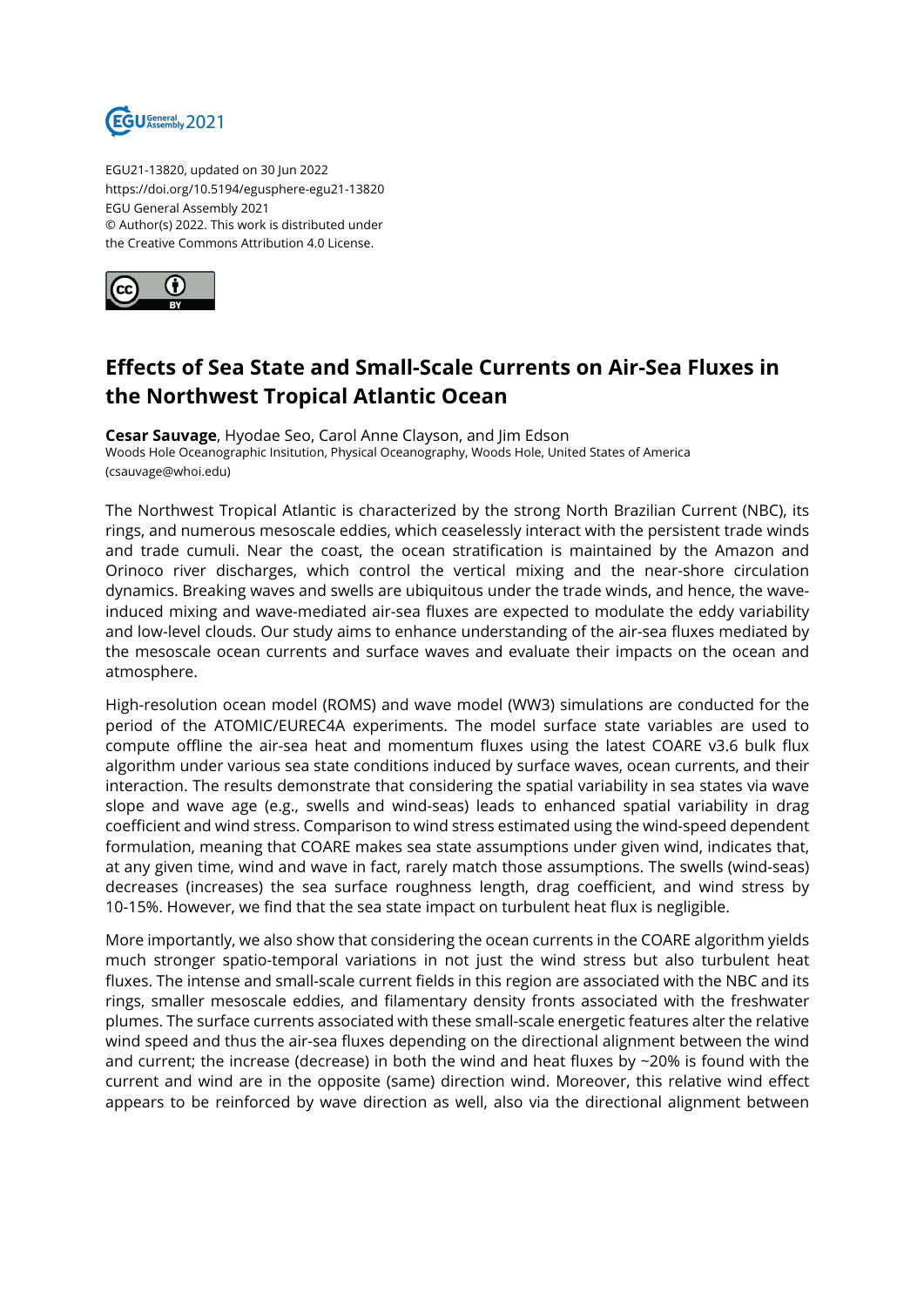

EGU21-13820, updated on 30 Jun 2022 https://doi.org/10.5194/egusphere-egu21-13820 EGU General Assembly 2021 © Author(s) 2022. This work is distributed under the Creative Commons Attribution 4.0 License.



## **Effects of Sea State and Small-Scale Currents on Air-Sea Fluxes in the Northwest Tropical Atlantic Ocean**

**Cesar Sauvage**, Hyodae Seo, Carol Anne Clayson, and Jim Edson Woods Hole Oceanographic Insitution, Physical Oceanography, Woods Hole, United States of America (csauvage@whoi.edu)

The Northwest Tropical Atlantic is characterized by the strong North Brazilian Current (NBC), its rings, and numerous mesoscale eddies, which ceaselessly interact with the persistent trade winds and trade cumuli. Near the coast, the ocean stratification is maintained by the Amazon and Orinoco river discharges, which control the vertical mixing and the near-shore circulation dynamics. Breaking waves and swells are ubiquitous under the trade winds, and hence, the waveinduced mixing and wave-mediated air-sea fluxes are expected to modulate the eddy variability and low-level clouds. Our study aims to enhance understanding of the air-sea fluxes mediated by the mesoscale ocean currents and surface waves and evaluate their impacts on the ocean and atmosphere.

High-resolution ocean model (ROMS) and wave model (WW3) simulations are conducted for the period of the ATOMIC/EUREC4A experiments. The model surface state variables are used to compute offline the air-sea heat and momentum fluxes using the latest COARE v3.6 bulk flux algorithm under various sea state conditions induced by surface waves, ocean currents, and their interaction. The results demonstrate that considering the spatial variability in sea states via wave slope and wave age (e.g., swells and wind-seas) leads to enhanced spatial variability in drag coefficient and wind stress. Comparison to wind stress estimated using the wind-speed dependent formulation, meaning that COARE makes sea state assumptions under given wind, indicates that, at any given time, wind and wave in fact, rarely match those assumptions. The swells (wind-seas) decreases (increases) the sea surface roughness length, drag coefficient, and wind stress by 10-15%. However, we find that the sea state impact on turbulent heat flux is negligible.

More importantly, we also show that considering the ocean currents in the COARE algorithm yields much stronger spatio-temporal variations in not just the wind stress but also turbulent heat fluxes. The intense and small-scale current fields in this region are associated with the NBC and its rings, smaller mesoscale eddies, and filamentary density fronts associated with the freshwater plumes. The surface currents associated with these small-scale energetic features alter the relative wind speed and thus the air-sea fluxes depending on the directional alignment between the wind and current; the increase (decrease) in both the wind and heat fluxes by  $\sim$  20% is found with the current and wind are in the opposite (same) direction wind. Moreover, this relative wind effect appears to be reinforced by wave direction as well, also via the directional alignment between